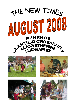







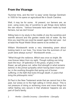## **From the Vicarage**

'Summer time, and the livin' is easy' wrote George Gershwin in 1935 for his opera on agricultural life in South Carolina.

Well, it may be for some. At present, our farmers are, as ever, using every day of sunshine to get things done before the rain returns. Various forecasts have been made by local farmers, but we don't know!

Sitting here in my study in the middle of July the sunshine and warmth abound and the garden needs lots of water. By the time you read this we could be awash again like last year - but at least the Royal Welsh Show seems to be smiled on.

William Wordsworth wrote a very interesting poem about looking back in our lives. You know how the summers of our youth were always sunny? Wordsworth wrote.........

"*What though the radiance, Which was once so bright, Be now forever taken from my sight, Though nothing can bring back the hour, Of splendour in the grass, of glory in the flower, we will grieve not, rather find strength in what remains behind; In the primal sympathy which having been must ever be; in the soothing thoughts that spring out of human suffering; in the faith that looks through death, in years that bring the philosophic mind."*

St Paul in the New Testament wrote that we cannot live in the past, but 'press on to the high calling in Christ Jesus'. This is not pressure of doing or achieving more and more things but rather feeling very secure in that whatever happens we are part of God's family.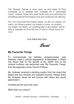The Olympic Games is soon upon us and again St Paul compares us to athletes who compete for a 'perishable crown'. Instead, those who seek God's truth are searching for something eternal that begins now and continues into eternity.

*For I am convinced that neither death, nor life, nor angels, nor rulers, nor things present, nor things to come, nor powers, nor height, nor depth, nor anything else in all creation, will be able to separate us from the love of God in Christ Jesus our Lord.*

Your friend and Vicar

David

### **My Favourite Things**

To commemorate her birthday, actress/vocalist, Julie Andrews made a special appearance at Manhattan 's Radio City Music Hall for the benefit of the AARP. One of the musical numbers she performed was 'My Favourite Things' from the legendary movie 'Sound Of Music'.

Ms. Andrews received a standing ovation from the crowd that lasted over four minutes and repeated encores. Please share Ms. Andrews' clever wit and humour with others who would appreciate it.

Overleaf are the lyrics she used:

(Best when you sing it!)

*Penrhos - Llantilio Crossenny - Llanvetherine - Llanvapley* 3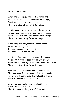### My Favourite Things

Botox and nose drops and needles for knitting, Walkers and handrails and new dental fittings, Bundles of magazines tied up in string, These are a few of my favourite things.

Cadillacs and cataracts, hearing aids and glasses, Polident and Fixodent and false teeth in glasses, Pacemakers, golf carts and porches with swings, These are a few of my favourite things.

When the pipes leak, when the bones creak, When the knees go bad, I simply remember my favourite things, And then I don't feel so bad.

Hot tea and crumpets and corn pads for bunions, No spicy hot food or food cooked with onions, Bathrobes and heating pads and hot meals they bring, These are a few of my favourite things.

Back pain, confused brains and no need for sinnin', Thin bones and fractures and hair that is thinnin', And we won't mention our short shrunken frames, When we remember our favourite things.

When the joints ache, when the hips break, When the eyes grow dim, Then I remember the great life I've had,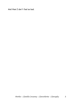And then I don't feel so bad.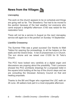# **News from the Villages**

### **Llanvapley**

The work on the church appears to be on schedule and things are going well so far. The *Strawberry Tea* had to be moved to the pavilion because of the bad weather but everyone who came enjoyed a delightful afternoon: £183 was raised for the restoration fund.

There will not be a service in August so the next Llanvapley service will again be in the pavilion on Sunday 14 September.

### **Llantilio Crossenny**

The Summer Fête was a great success! Our thanks to Matt Tebbut for opening the proceedings, to all the helpers on the stalls and the Grand Draw. A list of prizewinners is in Church. The sun shone and we raised over £1200 for St Teilo's Church.

The PCC have looked very carefully at a digital organ and discussions are ongoing about the possibility. Trish Luxmoore showed the PCC architects drawings for a proposed toilet in the square brick building at the top of the church steps and we are consulting the Diocesan Advisory Council on that and heating proposals.

Thanks to the Bill and Roger who organised the LSC walk on 29 June. 28 walkers took part in a most enjoyable afternoon.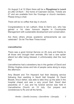On August 3 at 12.30pm there will be a *Ploughman's Lunch* at Little Cil-llwch – the home of Caenwen Davies. Tickets are £7 and are available from the Vicarage or church members. Please bring a chair.

There will be no coffee that day in church.

Congratulations to Ian Latham, Elsie & Den's son, who has gained a 1st class honours degree in Countryside Management with sustainable development and conservation.

Are there others whose academic achievements we can celebrate? Do let The New Times know!

### **Llanvetherine**

There was a good Animal Service on 29 June and thanks to all those who brought their animals. We had a rare spider attend but after being blessed, it unfortunately died the next day!

Llanvetherine had a strawberry tea in the garden of David and Shirley Hughes-Jones and lots of people came along to enjoy the afternoon.

Amy Bissett and Tim Hayward had their blessing service following their wedding in Nevill Hall Hospital. Dr David Bissett, Amy's father, was able to take Amy up the aisle in the hospital chapel and was a very proud Dad. David died peacefully on 7 July and his funeral service was held in Llanvetherine Church on 15 July. Our prayers and condolences to Ro and all the family.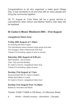Congratulations to all who organised a really good Village Day. It was wonderful to sit and chat with so many people and bring the community together.

On 31 August at 11am there will be a group service in Llanvetherine when Simon and Bethan North's new baby will be baptised.

### **St Cadoc's Music Weekend 29th - 31st August**

### **Llangattock-Vibon-Avel**

### **Friday 29th August at 7.30pm**

An Evening with Sara Fulgoni The international mezzo-soprano sings songs and arias The Orangery, Rolls of Monmouth Golf Club TIckets £15 (including a glass of wine on arrival)

### **Saturday 30th August at 8.00 pm**

Spirit Readers - Sax & Guitar Colin Tully and Paul Bradley St. Cadoc's Church, Llangattock-Vibon-Avel Tickets £10 (including a glass of wine)

### **Sunday 31st August at 11am**

Sung Eucharist with St. Cadoc's Singers William Byrd Mass in 4 parts St. Cadoc's Church, Llangattock-Vibon-Avel

#### **Sunday 31st August from 12.30pm**

Barbecue, Rounders and Music

Tickets: 01600 714926 or DS Music, 2-4 Monnow Street.

8 *Penrhos - Llantilio Crossenny - Llanvetherine - Llanvapley*